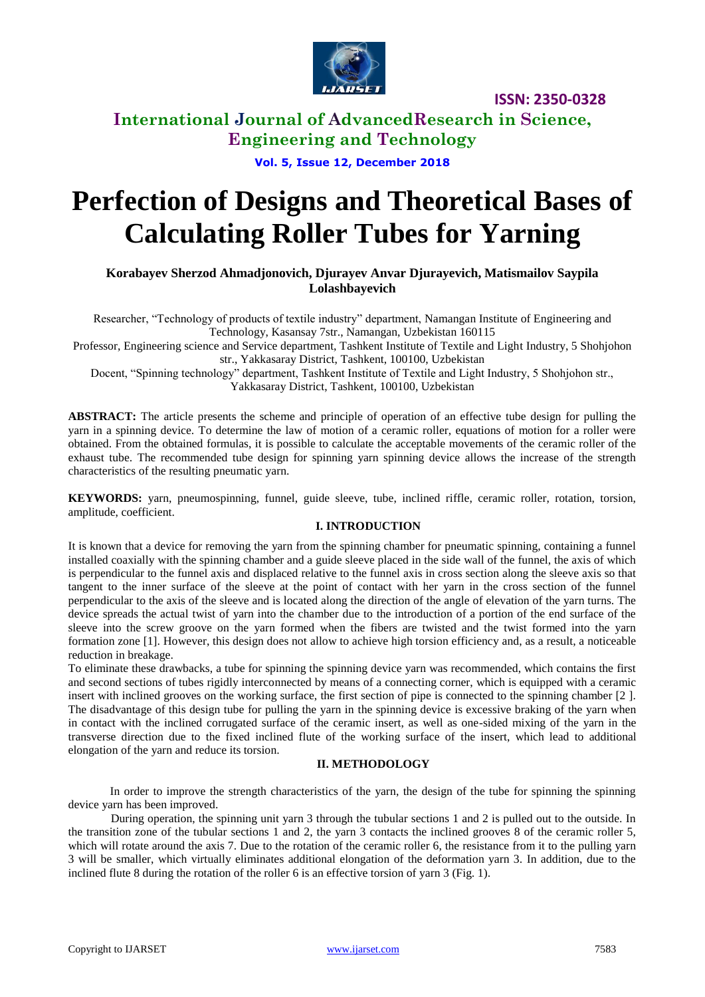

**International Journal of AdvancedResearch in Science, Engineering and Technology**

**Vol. 5, Issue 12, December 2018**

# **Perfection of Designs and Theoretical Bases of Calculating Roller Tubes for Yarning**

**Korabayev Sherzod Ahmadjonovich, Djurayev Anvar Djurayevich, Matismailov Saypila Lolashbayevich**

Researcher, "Technology of products of textile industry" department, Namangan Institute of Engineering and Technology, Kasansay 7str., Namangan, Uzbekistan 160115

Professor, Engineering science and Service department, Tashkent Institute of Textile and Light Industry, 5 Shohjohon str., Yakkasaray District, Tashkent, 100100, Uzbekistan

Docent, "Spinning technology" department, Tashkent Institute of Textile and Light Industry, 5 Shohjohon str., Yakkasaray District, Tashkent, 100100, Uzbekistan

**ABSTRACT:** The article presents the scheme and principle of operation of an effective tube design for pulling the yarn in a spinning device. To determine the law of motion of a ceramic roller, equations of motion for a roller were obtained. From the obtained formulas, it is possible to calculate the acceptable movements of the ceramic roller of the exhaust tube. The recommended tube design for spinning yarn spinning device allows the increase of the strength characteristics of the resulting pneumatic yarn.

**KEYWORDS:** yarn, pneumospinning, funnel, guide sleeve, tube, inclined riffle, ceramic roller, rotation, torsion, amplitude, coefficient.

#### **I. INTRODUCTION**

It is known that a device for removing the yarn from the spinning chamber for pneumatic spinning, containing a funnel installed coaxially with the spinning chamber and a guide sleeve placed in the side wall of the funnel, the axis of which is perpendicular to the funnel axis and displaced relative to the funnel axis in cross section along the sleeve axis so that tangent to the inner surface of the sleeve at the point of contact with her yarn in the cross section of the funnel perpendicular to the axis of the sleeve and is located along the direction of the angle of elevation of the yarn turns. The device spreads the actual twist of yarn into the chamber due to the introduction of a portion of the end surface of the sleeve into the screw groove on the yarn formed when the fibers are twisted and the twist formed into the yarn formation zone [1]. However, this design does not allow to achieve high torsion efficiency and, as a result, a noticeable reduction in breakage.

To eliminate these drawbacks, a tube for spinning the spinning device yarn was recommended, which contains the first and second sections of tubes rigidly interconnected by means of a connecting corner, which is equipped with a ceramic insert with inclined grooves on the working surface, the first section of pipe is connected to the spinning chamber [2 ]. The disadvantage of this design tube for pulling the yarn in the spinning device is excessive braking of the yarn when in contact with the inclined corrugated surface of the ceramic insert, as well as one-sided mixing of the yarn in the transverse direction due to the fixed inclined flute of the working surface of the insert, which lead to additional elongation of the yarn and reduce its torsion.

#### **II. METHODOLOGY**

In order to improve the strength characteristics of the yarn, the design of the tube for spinning the spinning device yarn has been improved.

During operation, the spinning unit yarn 3 through the tubular sections 1 and 2 is pulled out to the outside. In the transition zone of the tubular sections 1 and 2, the yarn 3 contacts the inclined grooves 8 of the ceramic roller 5, which will rotate around the axis 7. Due to the rotation of the ceramic roller 6, the resistance from it to the pulling yarn 3 will be smaller, which virtually eliminates additional elongation of the deformation yarn 3. In addition, due to the inclined flute 8 during the rotation of the roller 6 is an effective torsion of yarn 3 (Fig. 1).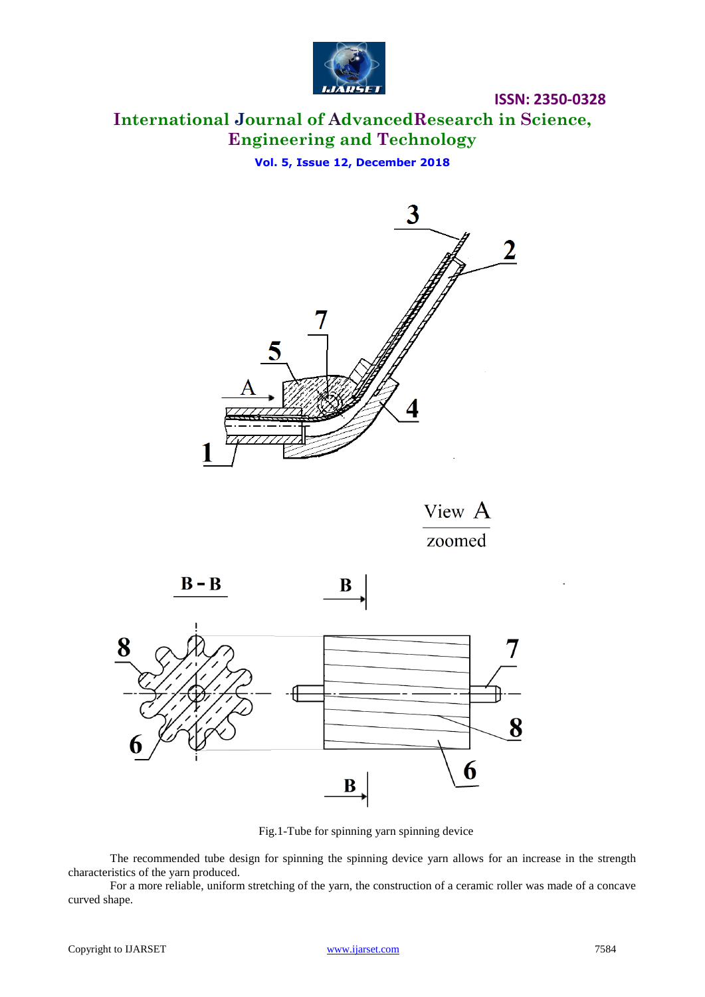

**International Journal of AdvancedResearch in Science, Engineering and Technology**

**Vol. 5, Issue 12, December 2018**



View A zoomed





B

Fig.1-Tube for spinning yarn spinning device

The recommended tube design for spinning the spinning device yarn allows for an increase in the strength characteristics of the yarn produced.

For a more reliable, uniform stretching of the yarn, the construction of a ceramic roller was made of a concave curved shape.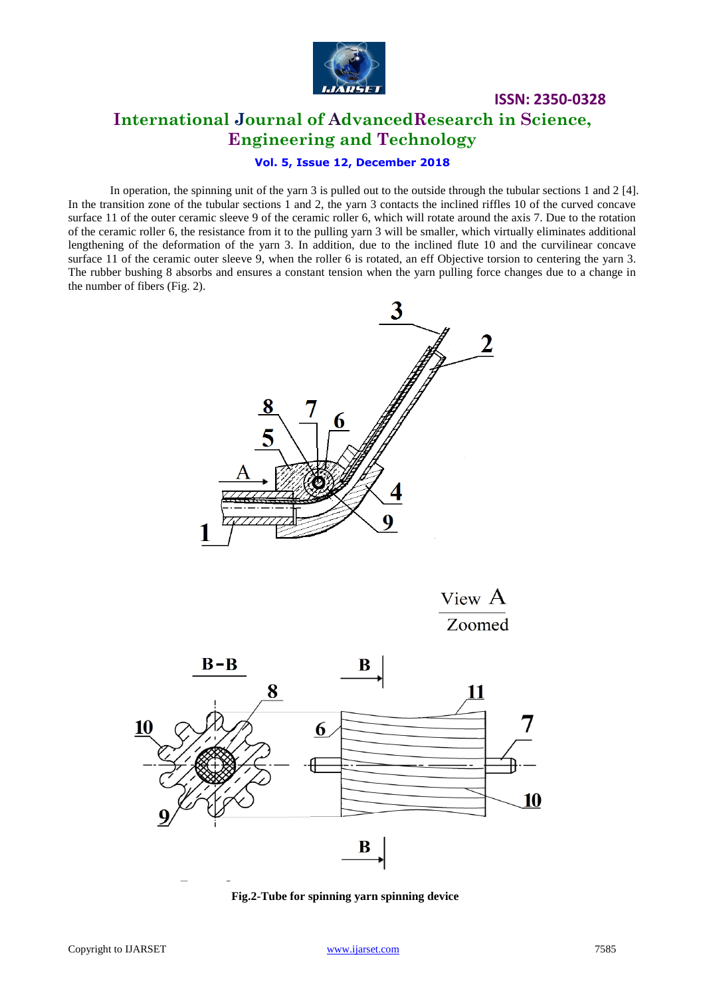

## **ISSN: 2350-0328 International Journal of AdvancedResearch in Science, Engineering and Technology**

#### **Vol. 5, Issue 12, December 2018**

In operation, the spinning unit of the yarn 3 is pulled out to the outside through the tubular sections 1 and 2 [4]. In the transition zone of the tubular sections 1 and 2, the yarn 3 contacts the inclined riffles 10 of the curved concave surface 11 of the outer ceramic sleeve 9 of the ceramic roller 6, which will rotate around the axis 7. Due to the rotation of the ceramic roller 6, the resistance from it to the pulling yarn 3 will be smaller, which virtually eliminates additional lengthening of the deformation of the yarn 3. In addition, due to the inclined flute 10 and the curvilinear concave surface 11 of the ceramic outer sleeve 9, when the roller 6 is rotated, an eff Objective torsion to centering the yarn 3. The rubber bushing 8 absorbs and ensures a constant tension when the yarn pulling force changes due to a change in the number of fibers (Fig. 2).







**Fig.2-Tube for spinning yarn spinning device**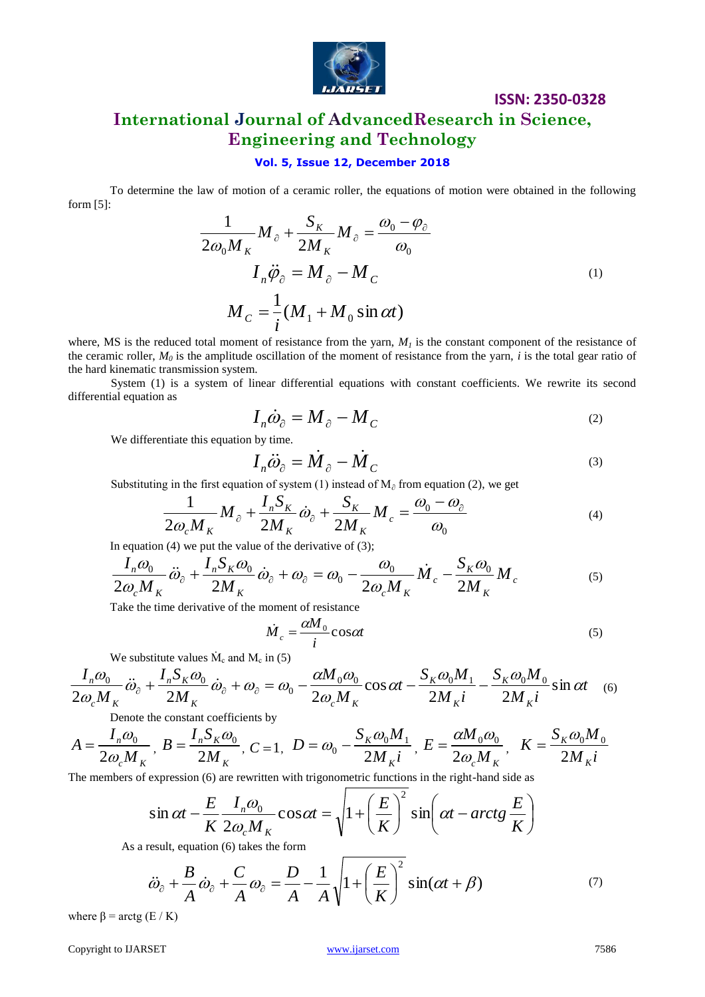

# **International Journal of AdvancedResearch in Science, Engineering and Technology**

#### **Vol. 5, Issue 12, December 2018**

To determine the law of motion of a ceramic roller, the equations of motion were obtained in the following form [5]:

$$
\frac{1}{2\omega_0 M_K} M_{\partial} + \frac{S_K}{2M_K} M_{\partial} = \frac{\omega_0 - \varphi_{\partial}}{\omega_0}
$$
  

$$
I_n \ddot{\varphi}_{\partial} = M_{\partial} - M_C
$$
  

$$
M_C = \frac{1}{i} (M_1 + M_0 \sin \alpha t)
$$
 (1)

where, MS is the reduced total moment of resistance from the yarn,  $M<sub>1</sub>$  is the constant component of the resistance of the ceramic roller,  $M_0$  is the amplitude oscillation of the moment of resistance from the yarn, *i* is the total gear ratio of the hard kinematic transmission system.

System (1) is a system of linear differential equations with constant coefficients. We rewrite its second differential equation as

$$
I_n \dot{\omega}_\partial = M_\partial - M_C \tag{2}
$$

We differentiate this equation by time.

$$
I_n \ddot{\omega}_\partial = \dot{M}_\partial - \dot{M}_C \tag{3}
$$

Substituting in the first equation of system (1) instead of  $M_0$  from equation (2), we get

$$
\frac{1}{2\omega_c M_K} M_{\partial} + \frac{I_n S_K}{2M_K} \dot{\omega}_{\partial} + \frac{S_K}{2M_K} M_c = \frac{\omega_0 - \omega_{\partial}}{\omega_0}
$$
(4)

In equation  $(4)$  we put the value of the derivative of  $(3)$ ;

$$
\frac{I_n \omega_0}{2\omega_c M_K} \ddot{\omega}_\partial + \frac{I_n S_K \omega_0}{2M_K} \dot{\omega}_\partial + \omega_\partial = \omega_0 - \frac{\omega_0}{2\omega_c M_K} \dot{M}_c - \frac{S_K \omega_0}{2M_K} M_c \tag{5}
$$

Take the time derivative of the moment of resistance

$$
\dot{M}_c = \frac{\alpha M_0}{i} \cos \alpha t \tag{5}
$$

We substitute values  $\dot{M}_c$  and  $M_c$  in (5)

$$
\frac{I_n \omega_0}{2\omega_c M_K} \ddot{\omega}_\partial + \frac{I_n S_K \omega_0}{2M_K} \dot{\omega}_\partial + \omega_\partial = \omega_0 - \frac{\alpha M_0 \omega_0}{2\omega_c M_K} \cos \alpha t - \frac{S_K \omega_0 M_1}{2M_K i} - \frac{S_K \omega_0 M_0}{2M_K i} \sin \alpha t \quad (6)
$$

Denote the constant coefficients by

$$
A = \frac{I_n \omega_0}{2\omega_c M_K}, \ B = \frac{I_n S_K \omega_0}{2M_K}, \ C = 1, \ D = \omega_0 - \frac{S_K \omega_0 M_1}{2M_K i}, \ E = \frac{\alpha M_0 \omega_0}{2\omega_c M_K}, \ K = \frac{S_K \omega_0 M_0}{2M_K i}
$$

The members of expression (6) are rewritten with trigonometric functions in the right-hand side as

$$
\sin \alpha t - \frac{E}{K} \frac{I_n \omega_0}{2 \omega_c M_K} \cos \alpha t = \sqrt{1 + \left(\frac{E}{K}\right)^2 \sin \left(\alpha t - \arctg \frac{E}{K}\right)}
$$

As a result, equation (6) takes the form

$$
\ddot{\omega}_\partial + \frac{B}{A} \dot{\omega}_\partial + \frac{C}{A} \omega_\partial = \frac{D}{A} - \frac{1}{A} \sqrt{1 + \left(\frac{E}{K}\right)^2 \sin(\alpha t + \beta)} \tag{7}
$$

where  $\beta$  = arctg (E / K)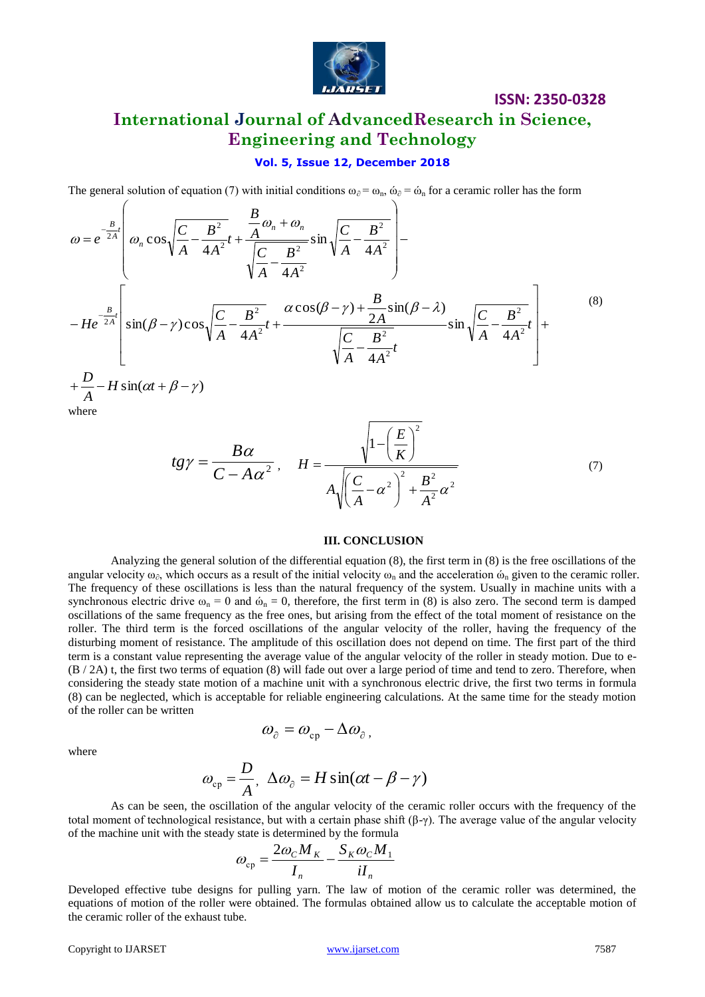

# **International Journal of AdvancedResearch in Science, Engineering and Technology**

**ISSN: 2350-0328**

#### **Vol. 5, Issue 12, December 2018**

The general solution of equation (7) with initial conditions  $\omega_{\partial} = \omega_n$ ,  $\omega_{\partial} = \omega_n$  for a ceramic roller has the form

$$
\omega = e^{-\frac{B}{2A}t} \left( \omega_n \cos \sqrt{\frac{C}{A} - \frac{B^2}{4A^2}} t + \frac{\frac{B}{A} \omega_n + \omega_n}{\sqrt{\frac{C}{A} - \frac{B^2}{4A^2}}} \sin \sqrt{\frac{C}{A} - \frac{B^2}{4A^2}} \right) - H e^{-\frac{B}{2A}t} \left[ \sin(\beta - \gamma) \cos \sqrt{\frac{C}{A} - \frac{B^2}{4A^2}} t + \frac{\alpha \cos(\beta - \gamma) + \frac{B}{2A} \sin(\beta - \lambda)}{\sqrt{\frac{C}{A} - \frac{B^2}{4A^2}} t} \sin \sqrt{\frac{C}{A} - \frac{B^2}{4A^2}} t \right] + \frac{D}{A} - H \sin(\alpha t + \beta - \gamma)
$$
\nwhere\n
$$
\tag{8}
$$
\nwhere

$$
tg\gamma = \frac{B\alpha}{C - A\alpha^2}, \quad H = \frac{\sqrt{1 - \left(\frac{E}{K}\right)^2}}{A\sqrt{\left(\frac{C}{A} - \alpha^2\right)^2 + \frac{B^2}{A^2}\alpha^2}}
$$
(7)

#### **III. CONCLUSION**

Analyzing the general solution of the differential equation  $(8)$ , the first term in  $(8)$  is the free oscillations of the angular velocity  $\omega_{\alpha}$ , which occurs as a result of the initial velocity  $\omega_n$  and the acceleration  $\omega_n$  given to the ceramic roller. The frequency of these oscillations is less than the natural frequency of the system. Usually in machine units with a synchronous electric drive  $\omega_n = 0$  and  $\omega_n = 0$ , therefore, the first term in (8) is also zero. The second term is damped oscillations of the same frequency as the free ones, but arising from the effect of the total moment of resistance on the roller. The third term is the forced oscillations of the angular velocity of the roller, having the frequency of the disturbing moment of resistance. The amplitude of this oscillation does not depend on time. The first part of the third term is a constant value representing the average value of the angular velocity of the roller in steady motion. Due to e- (B / 2A) t, the first two terms of equation (8) will fade out over a large period of time and tend to zero. Therefore, when considering the steady state motion of a machine unit with a synchronous electric drive, the first two terms in formula (8) can be neglected, which is acceptable for reliable engineering calculations. At the same time for the steady motion of the roller can be written

where

 $\sqrt{ }$ 

$$
\omega_{\hat{\boldsymbol{\sigma}}} = \omega_{\mathrm{cp}} - \Delta \omega_{\hat{\boldsymbol{\sigma}}} \,,
$$

$$
\omega_{\rm cp} = \frac{D}{A}, \ \Delta \omega_{\partial} = H \sin(\alpha t - \beta - \gamma)
$$

As can be seen, the oscillation of the angular velocity of the ceramic roller occurs with the frequency of the total moment of technological resistance, but with a certain phase shift  $(β-γ)$ . The average value of the angular velocity of the machine unit with the steady state is determined by the formula

$$
\omega_{\rm cp} = \frac{2\omega_c M_K}{I_n} - \frac{S_K \omega_c M_1}{iI_n}
$$

Developed effective tube designs for pulling yarn. The law of motion of the ceramic roller was determined, the equations of motion of the roller were obtained. The formulas obtained allow us to calculate the acceptable motion of the ceramic roller of the exhaust tube.